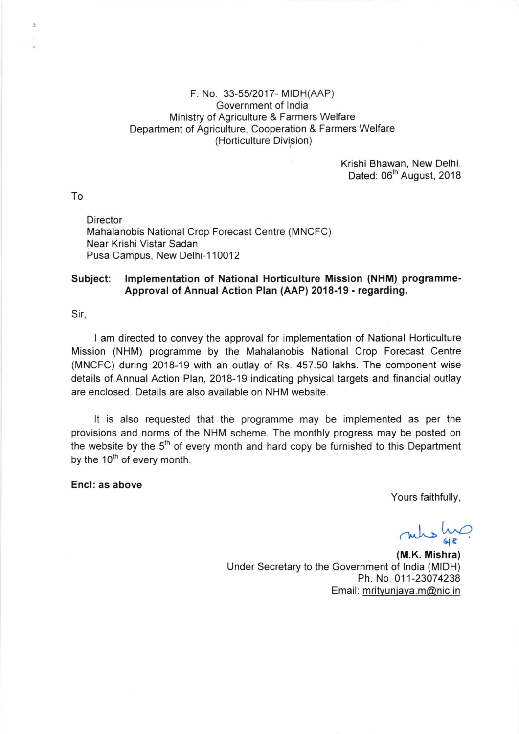## F. No. 33-55/2017- MIDH(AAP) Government of lndia Ministry of Agriculture & Farmers Welfare Department of Agriculture, Cooperation & Farmers Welfare (Horticulture Division)

Krishi Bhawan, New Delhi. Dated: 06<sup>th</sup> August, 2018

To

 $\overline{z}$ 

**Director** Mahalanobis National Crop Forecast Centre (MNCFC) Near Krishi Vistar Sadan Pusa Campus, New Delhi-110012

## Subject: lmplementation of National Horticulture Mission (NHM) programme-Approval of Annual Action Plan (AAP) 2018-19 - regarding.

Sir,

I am directed to convey the approval for implementation of National Horticulture Mission (NHM) programme by the Mahalanobis National Crop Forecast Centre (MNCFC) during 2018-19 with an outlay of Rs. 457.50 lakhs. The component wise details of Annual Action Plan, 2018-19 indicating physical targets and financial outlay are enclosed. Details are also available on NHM website.

It is also requested that the programme may be implemented as per the provisions and norms of the NHM scheme. The monthly progress may be posted on the website by the  $5<sup>th</sup>$  of every month and hard copy be furnished to this Department by the  $10^{th}$  of every month.

Encl: as above

Yours faithfully,

 $98$ nules Luc

(M.K. Mishra) Under Secretary to the Government of lndia (MIDH) Ph. No.011-23074238 Email: mrityunjaya.m@nic.in